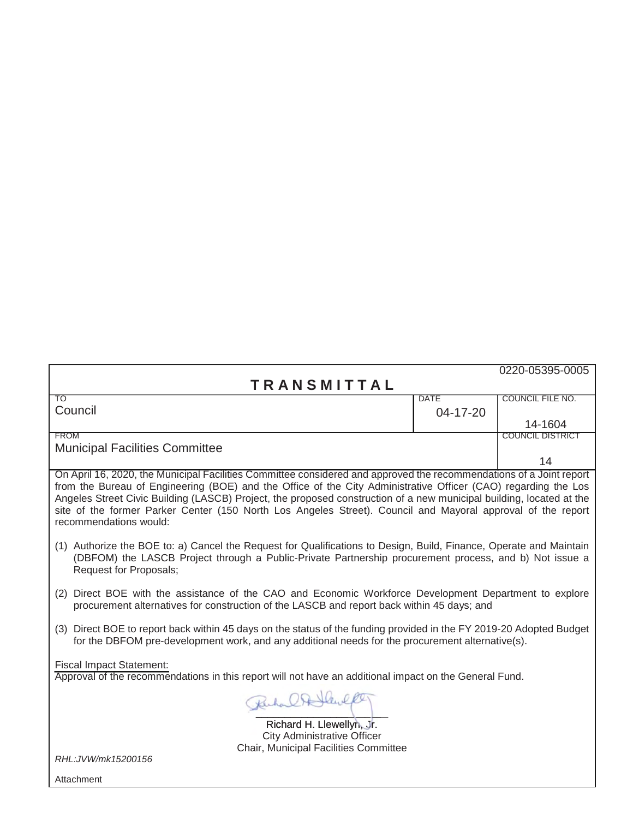|                                                                                                                                                                                                                                                                                                                                                                                                                                                                                                        |             | 0220-05395-0005         |  |  |
|--------------------------------------------------------------------------------------------------------------------------------------------------------------------------------------------------------------------------------------------------------------------------------------------------------------------------------------------------------------------------------------------------------------------------------------------------------------------------------------------------------|-------------|-------------------------|--|--|
| <b>TRANSMITTAL</b>                                                                                                                                                                                                                                                                                                                                                                                                                                                                                     |             |                         |  |  |
| TO                                                                                                                                                                                                                                                                                                                                                                                                                                                                                                     | <b>DATE</b> | <b>COUNCIL FILE NO.</b> |  |  |
| Council                                                                                                                                                                                                                                                                                                                                                                                                                                                                                                | 04-17-20    |                         |  |  |
|                                                                                                                                                                                                                                                                                                                                                                                                                                                                                                        |             | 14-1604                 |  |  |
| <b>FROM</b>                                                                                                                                                                                                                                                                                                                                                                                                                                                                                            |             | <b>COUNCIL DISTRICT</b> |  |  |
| <b>Municipal Facilities Committee</b>                                                                                                                                                                                                                                                                                                                                                                                                                                                                  |             |                         |  |  |
|                                                                                                                                                                                                                                                                                                                                                                                                                                                                                                        |             | 14                      |  |  |
| On April 16, 2020, the Municipal Facilities Committee considered and approved the recommendations of a Joint report<br>from the Bureau of Engineering (BOE) and the Office of the City Administrative Officer (CAO) regarding the Los<br>Angeles Street Civic Building (LASCB) Project, the proposed construction of a new municipal building, located at the<br>site of the former Parker Center (150 North Los Angeles Street). Council and Mayoral approval of the report<br>recommendations would: |             |                         |  |  |
| (1) Authorize the BOE to: a) Cancel the Request for Qualifications to Design, Build, Finance, Operate and Maintain<br>(DBFOM) the LASCB Project through a Public-Private Partnership procurement process, and b) Not issue a<br>Request for Proposals;                                                                                                                                                                                                                                                 |             |                         |  |  |
| (2) Direct BOE with the assistance of the CAO and Economic Workforce Development Department to explore<br>procurement alternatives for construction of the LASCB and report back within 45 days; and                                                                                                                                                                                                                                                                                                   |             |                         |  |  |
| (3) Direct BOE to report back within 45 days on the status of the funding provided in the FY 2019-20 Adopted Budget<br>for the DBFOM pre-development work, and any additional needs for the procurement alternative(s).                                                                                                                                                                                                                                                                                |             |                         |  |  |
| <b>Fiscal Impact Statement:</b><br>Approval of the recommendations in this report will not have an additional impact on the General Fund.                                                                                                                                                                                                                                                                                                                                                              |             |                         |  |  |
| Ruhar CA Hewlk                                                                                                                                                                                                                                                                                                                                                                                                                                                                                         |             |                         |  |  |
| Richard H. Llewellyn, Jr.                                                                                                                                                                                                                                                                                                                                                                                                                                                                              |             |                         |  |  |
| City Administrative Officer<br>Chair, Municipal Facilities Committee                                                                                                                                                                                                                                                                                                                                                                                                                                   |             |                         |  |  |
| RHL:JVW/mk15200156                                                                                                                                                                                                                                                                                                                                                                                                                                                                                     |             |                         |  |  |
| Attachment                                                                                                                                                                                                                                                                                                                                                                                                                                                                                             |             |                         |  |  |
|                                                                                                                                                                                                                                                                                                                                                                                                                                                                                                        |             |                         |  |  |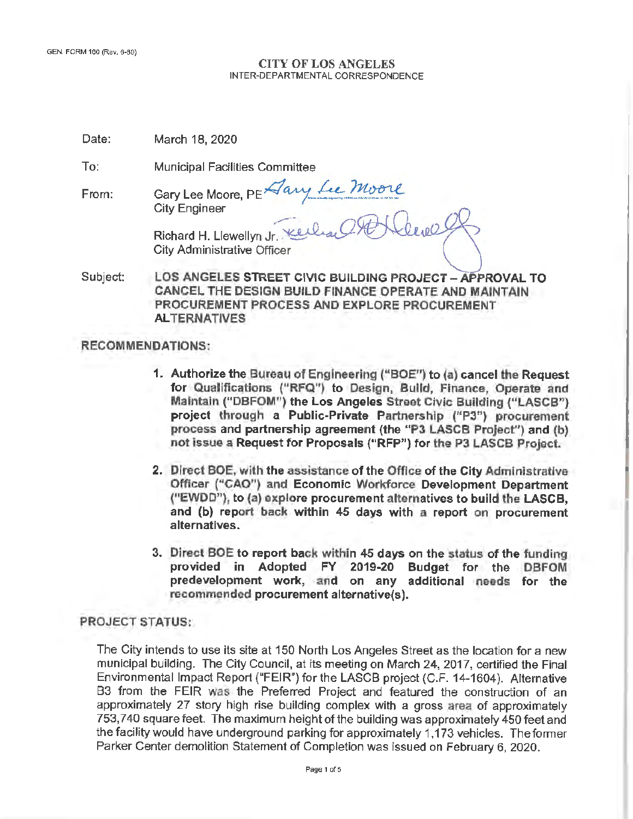#### **CITY OF LOS ANGELES**  INTER-DEPARTMENTAL CORRESPONDENCE

| Date: | March 18, 2020 |  |  |  |
|-------|----------------|--|--|--|
|-------|----------------|--|--|--|

To: Municipal Facilities Committee

From: Gary Lee Moore, PE Aany Lee Moore City Engineer Municipal Facilities Committee<br>Gary Lee Moore, PE Aany Lee Moore<br>City Engineer<br>Richard H. Llewellyn Jr. Keelaal PON Clevel

City Administrative Officer

Subject: **LOS ANGELES STREET CIVIC BUILDING PROJECT -APPROVAL TO CANCEL THE DESIGN BUILD FINANCE OPERATE AND MAINTAIN PROCUREMENT PROCESS AND EXPLORE PROCUREMENT ALTERNATIVES** 

## **RECOMMENDATIONS:**

- 1. Authorize the Bureau of Engineering ("BOE") to (a) cancel the Request for Qualifications ("RFQ") to Design, Build, Finance, Operate and Maintain ("DBFOM") the Los Angeles Street Civic Building ("LASCB") project through a Public-Private Partnership ("P3") procurement process and partnership agreement (the "P3 LASCB Project") and (b) not issue a Request for Proposals ("RFP") for the P3 LASCB Project.
- 2. Direct BOE, with the assistance of the Office of the City Administrative Officer ("CAO") and Economic Workforce Development Department ("EWDD"), to (a) explore procurement alternatives to build the **LASCB,**  and (b) report back within 45 days with a report on procurement **alternatives.**
- **3. Direct BOE to report back within 45 days** on **the status of the funding provided in Adopted FY 2019-20 Budget for the DBFOM predevelopment work, and on any additional needs for the recommended procurement alternative(s).**

### **PROJECT STATUS:**

The City intends to use its site at 150 North Los Angeles Street as the location for a new municipal building. The City Council, at its meeting on March 24, 2017, certified the Final Environmental Impact Report ("FEIR") for the LASCB project (C.F. 14-1604). Alternative 83 from the FEIR was the Preferred Project and featured the construction of an approximately 27 story high rise building complex with a gross area of approximately 753,740 square feet. The maximum height of the building was approximately 450 feet and the facility would have underground parking for approximately 1,173 vehicles. The former Parker Center demolition Statement of Completion was issued on February 6, 2020.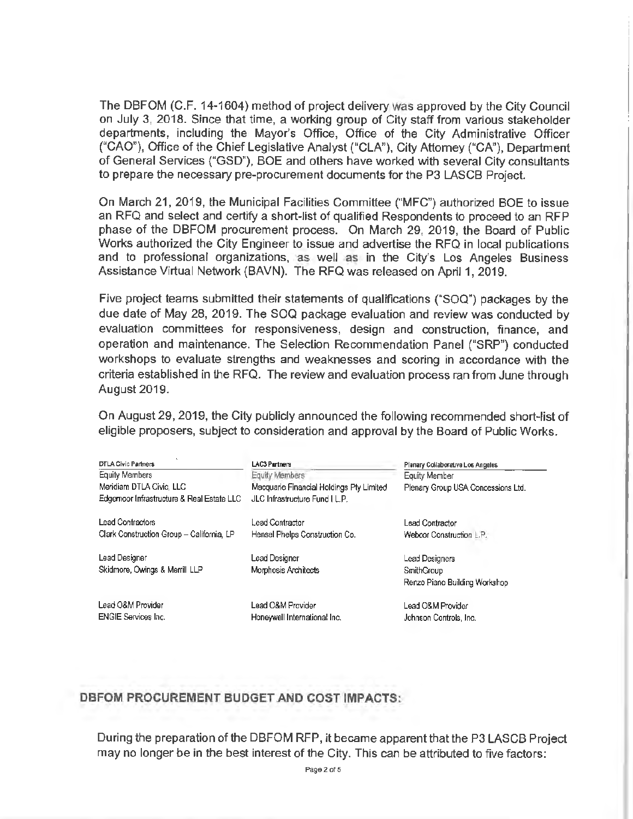The DBFOM (C.F. 14-1604) method of project delivery was approved by the City Council on July 3, 2018. Since that time, a working group of City staff from various stakeholder departments, including the Mayor's Office, Office of the City Administrative Officer ("CAO"), Office of the Chief Legislative Analyst ("CLA"), City Attorney ("CA"), Department of General Services ("GSD"), BOE and others have worked with several City consultants to prepare the necessary pre-procurement documents for the P3 LASCB Project.

On March 21, 2019, the Municipal Facilities Committee ("MFC") authorized BOE *to* issue an RFQ and select and certify a short-list of qualified Respondents to proceed to an RFP phase of the DBFOM procurement process. On March 29, 2019, the Board of Public Works authorized the City Engineer to issue and advertise the RFQ in local publications and to professional organizations, as well as in the City's Los Angeles Business Assistance Virtual Network (BAVN). The RFQ was released on April 1, 2019.

Five project teams submitted their statements of qualifications ("SOQ") packages by the due date of May 28, 2019. The SQQ package evaluation and review was conducted by evaluation committees for responsiveness, design and construction, finance, and operation and maintenance. The Selection Recommendation Panel ("SRP") conducted workshops to evaluate strengths and weaknesses and scoring in accordance with the criteria established in the RFQ. The review and evaluation process ran from June through August 2019.

On August 29, 2019, the City publicly announced the following recommended short-list of eligible proposers, subject to consideration and approval by the Board of Public Works.

| <b>DTLA Civic Partners</b>                | LAC3 Partners                            | Plenary Collaborative Los Angeles  |
|-------------------------------------------|------------------------------------------|------------------------------------|
| <b>Equity Members</b>                     | Equity Members                           | Equity Member                      |
| Meridiam DTLA Civic, LLC                  | Macquarie Financial Holdings Pty Limited | Plenary Group USA Concessions Ltd. |
| Edgemoor Infrastructure & Real Estate LLC | JLC Infrastructure Fund I L.P.           |                                    |
| Lead Contractors                          | Lead Contractor                          | <b>Lead Contractor</b>             |
| Clark Construction Group - California, LP | Hensel Phelps Construction Co.           | Webcor Construction L.P.           |
| Lead Designer                             | Lead Designer                            | Lead Designers                     |
| Skidmore, Owings & Merrill LLP            | <b>Morphosis Architects</b>              | SmithGroup                         |
|                                           |                                          | Renzo Piano Building Workshop      |
| Lead O&M Provider                         | Lead O&M Provider                        | Lead O&M Provider                  |
| <b>ENGIE Services Inc.</b>                | Honewwell International Inc.             | Johnson Controls, Inc.             |

# **DBFOM PROCUREMENT BUDGET AND COST IMPACTS:**

During the preparation of the DBFOM RFP, it became apparent that the P3 LASCB Project may no longer be in the best interest of the City. This can be attributed to five factors: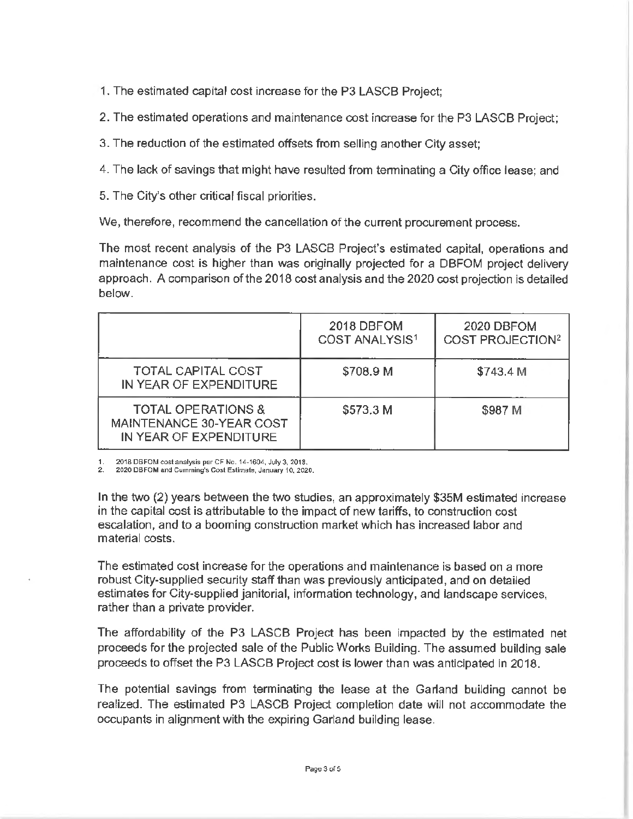- 1. The estimated capital cost increase for the P3 LASCB Project;
- 2. The estimated operations and maintenance cost increase for the P3 LASCB Project;
- 3. The reduction of the estimated offsets from selling another City asset;
- 4. The lack of savings that might have resulted from terminating a City office lease; and
- 5. The City's other critical fiscal priorities.

We, therefore, recommend the cancellation of the current procurement process.

The most recent analysis of the P3 LASCB Project's estimated capital, operations and maintenance cost is higher than was originally projected for a DBFOM project delivery approach. A comparison of the 2018 cost analysis and the 2020 cost projection is detailed below.

|                                                                                     | 2018 DBFOM<br>COST ANALYSIS <sup>1</sup> | 2020 DBFOM<br><b>COST PROJECTION<sup>2</sup></b> |
|-------------------------------------------------------------------------------------|------------------------------------------|--------------------------------------------------|
| <b>TOTAL CAPITAL COST</b><br>IN YEAR OF EXPENDITURE                                 | \$708.9 M                                | \$743.4 M                                        |
| <b>TOTAL OPERATIONS &amp;</b><br>MAINTENANCE 30-YEAR COST<br>IN YEAR OF EXPENDITURE | \$573.3 M                                | \$987 M                                          |

1. 2018 DBFOM cost analysis per CF No. 14-1604, July 3, 2018.

2020 DBFOM and Curnming's Cost Estimate, January 10, 2020.

In the two (2) years betvveen the two studies, an approximately \$35M estimated increase in the capital cost is attributable to the impact of new tariffs, to construction cost escalation, and to a booming construction market which has increased labor and material costs.

The estimated cost increase for the operations and maintenance is based on a more robust City-supplied security staff than was previously anticipated, and on detailed estimates for City-supplied janitorial, information technology, and landscape services, rather than a private provider.

The affordability of the P3 LASCB Project has been impacted by the estimated net proceeds for the projected sale of the Public Works Building. The assumed building sale proceeds to offset the P3 LASCB Project cost is lower than was anticipated in 2018.

The potential savings from terminating the lease at the Garland building cannot be realized. The estimated P3 LASCB Project completion date will not accommodate the occupants in alignment with the expiring Garland building lease.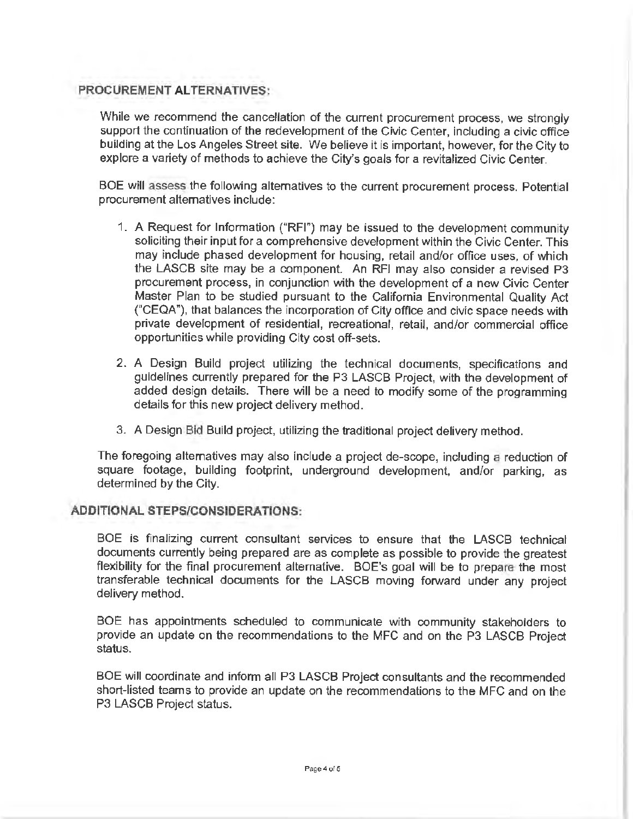## **PROCUREMENT ALTERNATIVES:**

While we recommend the cancellation of the current procurement process, we strongly support the continuation of the redevelopment of the Civic Center, including a civic office building at the Los Angeles Street site. We believe it is important, however, for the City to explore a variety of methods to achieve the City's goals for a revitalized Civic Center.

BOE will assess the following alternatives to the current procurement process. Potential procurement alternatives include:

- 1. A Request for Information ("RFI") may be issued to the development community soliciting their input for a comprehensive development within the Civic Center. This may include phased development for housing, retail and/or office uses, of which the LASCB site may be a component. An RFl may also consider a revised P3 procurement process, in conjunction with the development of a new Civic Center Master Plan to be studied pursuant to the California Environmental Quality Act ("CEQA"), that balances the incorporation of City office and civic space needs with private development of residential, recreational, retail, and/or commercial office opportunities while providing City cost off-sets.
- 2. A Design Build project utilizing the technical documents, specifications and guidelines currently prepared for the P3 LASCB Project, with the development of added design details. There will be a need to modify some of the programming details for this new project delivery method.
- 3. A Design Bid Build project, utilizing the traditional project delivery method.

The foregoing alternatives may also include a project de-scope, including a reduction of square footage, building footprint, underground development, and/or parking, as determined by the City.

#### **ADDITIONAL STEPS/CONSIDERATIONS:**

BOE is finalizing current consultant services to ensure that the LASCB technical documents currently being prepared are as complete as possible to provide the greatest flexibility for the final procurement alternative. BOE's goal will be to prepare the most transferable technical documents for the LASCB moving forward under any project delivery method.

BOE has appointments scheduled to communicate with community stakeholders to provide an update on the recommendations to the MFC and on the P3 LASCB Project status.

BOE will coordinate and inform all P3 LASCB Project consultants and the recommended short-listed teams to provide an update on the recommendations to the MFC and on the P3 LASCB Project status.